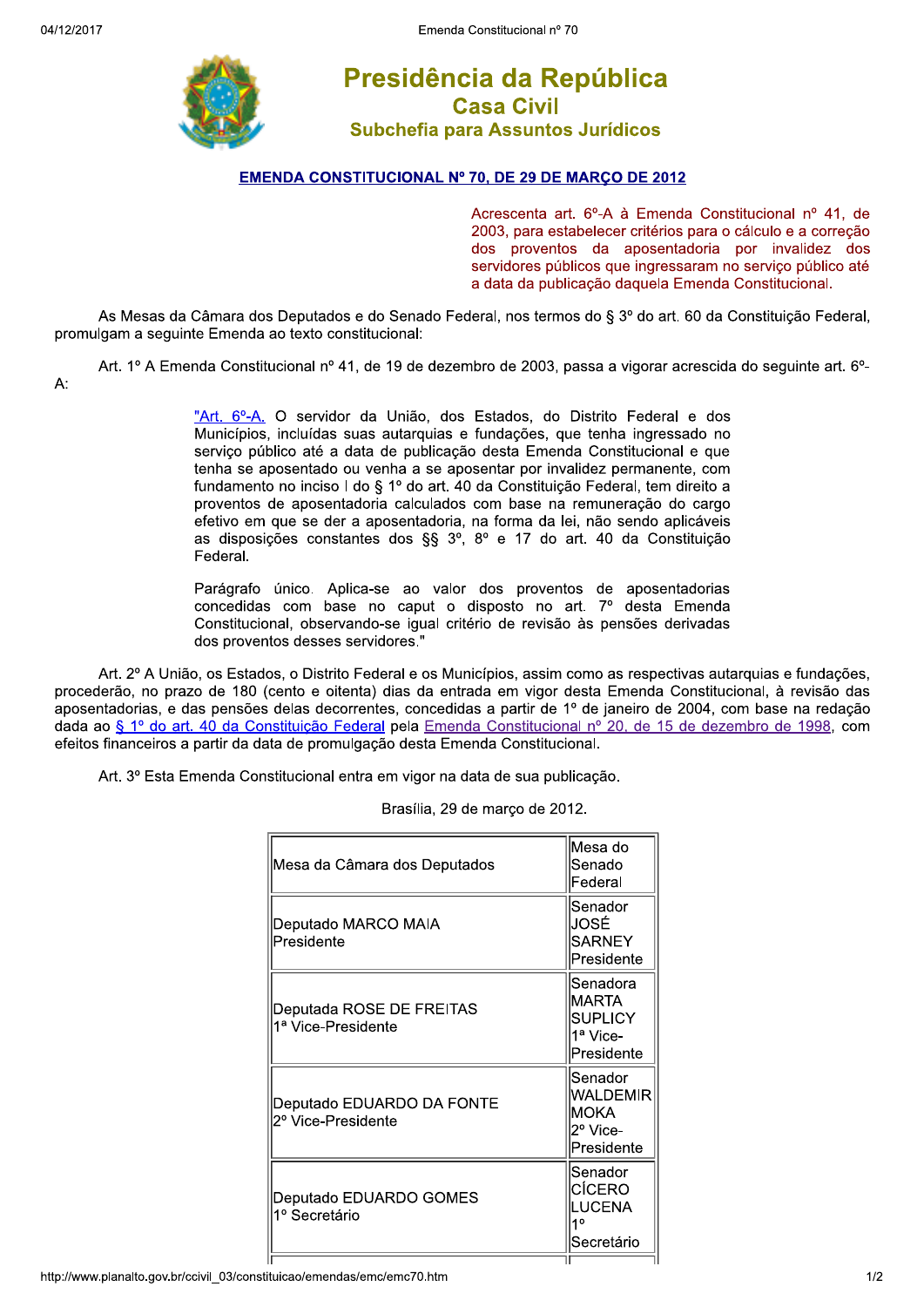

## Presidência da República **Casa Civil** Subchefia para Assuntos Jurídicos

## **EMENDA CONSTITUCIONAL Nº 70, DE 29 DE MARCO DE 2012**

Acrescenta art. 6º-A à Emenda Constitucional nº 41, de 2003, para estabelecer critérios para o cálculo e a correção dos proventos da aposentadoria por invalidez dos servidores públicos que ingressaram no servico público até a data da publicação daquela Emenda Constitucional.

As Mesas da Câmara dos Deputados e do Senado Federal, nos termos do § 3º do art. 60 da Constituição Federal, promulgam a seguinte Emenda ao texto constitucional:

Art. 1º A Emenda Constitucional nº 41, de 19 de dezembro de 2003, passa a vigorar acrescida do seguinte art. 6º-A:

> "Art. 6º-A. O servidor da União, dos Estados, do Distrito Federal e dos Municípios, incluídas suas autarquias e fundações, que tenha ingressado no servico público até a data de publicação desta Emenda Constitucional e que tenha se aposentado ou venha a se aposentar por invalidez permanente, com fundamento no inciso I do § 1º do art. 40 da Constituição Federal, tem direito a proventos de aposentadoria calculados com base na remuneração do cargo efetivo em que se der a aposentadoria, na forma da lei, não sendo aplicáveis as disposições constantes dos §§ 3º, 8º e 17 do art. 40 da Constituição Federal.

> Parágrafo único. Aplica-se ao valor dos proventos de aposentadorias concedidas com base no caput o disposto no art. 7º desta Emenda Constitucional, observando-se igual critério de revisão às pensões derivadas dos proventos desses servidores."

Art. 2º A União, os Estados, o Distrito Federal e os Municípios, assim como as respectivas autarquias e fundações, procederão, no prazo de 180 (cento e oitenta) dias da entrada em vigor desta Emenda Constitucional, à revisão das aposentadorias, e das pensões delas decorrentes, concedidas a partir de 1º de janeiro de 2004, com base na redação dada ao § 1º do art. 40 da Constituição Federal pela Emenda Constitucional nº 20, de 15 de dezembro de 1998, com efeitos financeiros a partir da data de promulgação desta Emenda Constitucional.

Art. 3º Esta Emenda Constitucional entra em vigor na data de sua publicação.

| Mesa da Câmara dos Deputados                    | lMesa do<br>lSenado<br>Federal                                  |
|-------------------------------------------------|-----------------------------------------------------------------|
| Deputado MARCO MAIA<br>Presidente               | Senador<br>JOSÉ<br><b>SARNEY</b><br>Presidente                  |
| Deputada ROSE DE FREITAS<br>1ª Vice-Presidente  | Senadora<br><b>IMARTA</b><br>ISUPLICY<br>1ª Vice-<br>Presidente |
| Deputado EDUARDO DA FONTE<br>2º Vice-Presidente | Senador<br> WALDEMIR<br>IMOKA<br>2º Vice-<br>Presidente         |
| Deputado EDUARDO GOMES<br>1º Secretário         | Senador<br>CÍCERO<br>ILUCENA<br>10<br>Secretário                |
|                                                 |                                                                 |

Brasília, 29 de marco de 2012.